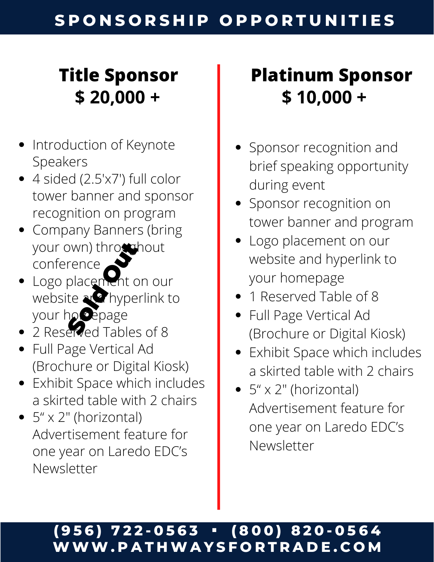# **Title Sponsor \$ 20,000 +**

- Introduction of Keynote Speakers
- 4 sided (2.5'x7') full color tower banner and sponsor recognition on program
- Company Banners (bring your own) throughout conference
- Logo placement on our website at *h*yperlink to your homepage Swn) through<br>
rence<br>
placement c<br>
ite<br> **Red Tables**<br>
erved Tables
- 2 Reserved Tables of 8
- Full Page Vertical Ad (Brochure or Digital Kiosk)
- Exhibit Space which includes a skirted table with 2 chairs
- $\bullet$  5" x 2" (horizontal) Advertisement feature for one year on Laredo EDC's Newsletter

# **Platinum Sponsor \$ 10,000 +**

- Sponsor recognition and brief speaking opportunity during event
- Sponsor recognition on tower banner and program
- Logo placement on our website and hyperlink to your homepage
- 1 Reserved Table of 8
- Full Page Vertical Ad (Brochure or Digital Kiosk)
- Exhibit Space which includes a skirted table with 2 chairs
- $\bullet$  5" x 2" (horizontal) Advertisement feature for one year on Laredo EDC's Newsletter

#### (956) 722-0563 • (800) 820-0564 **WWW. P A T HWA Y S F O R T R A D E . C O M**